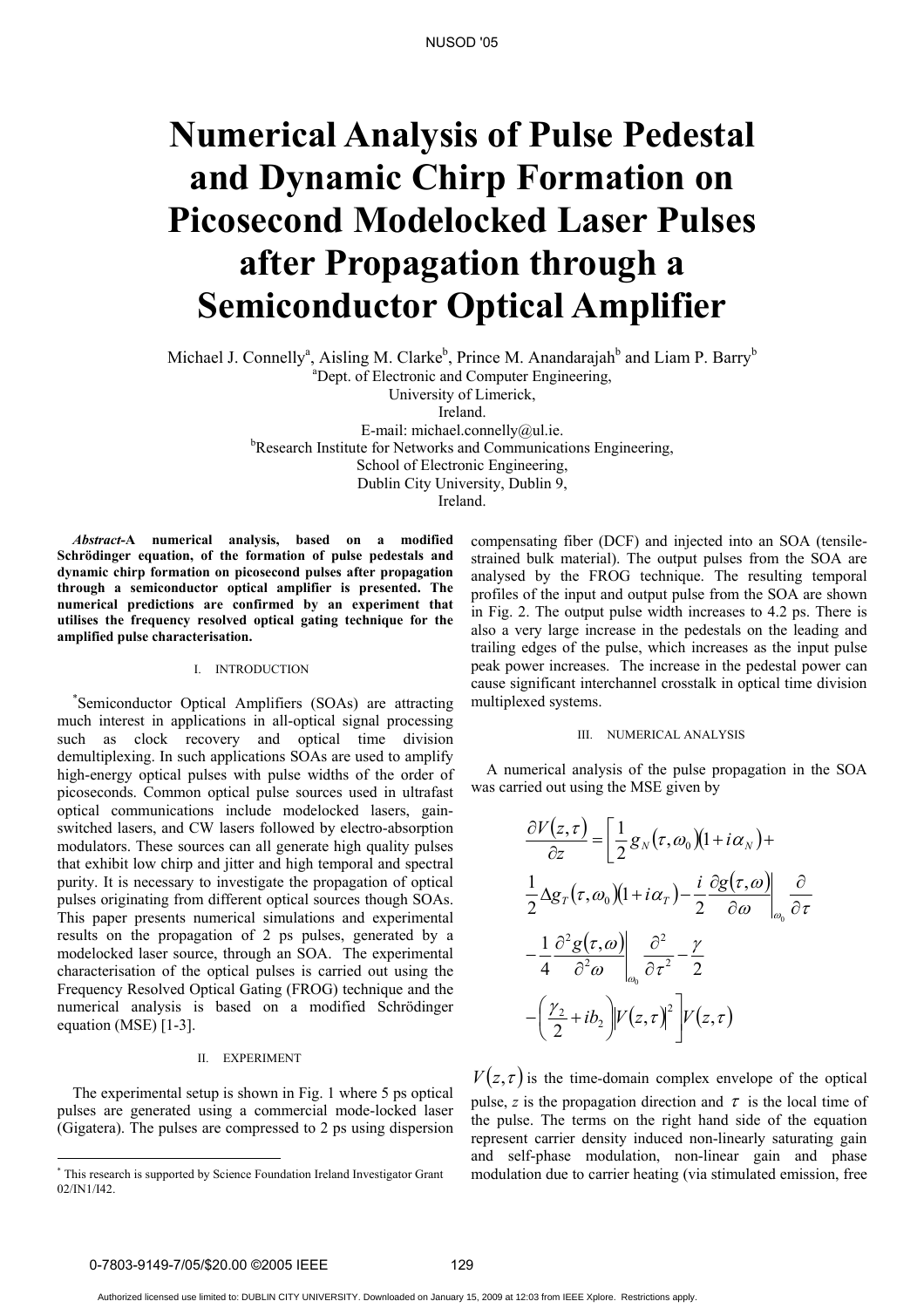# **Numerical Analysis of Pulse Pedestal and Dynamic Chirp Formation on Picosecond Modelocked Laser Pulses after Propagation through a Semiconductor Optical Amplifier**

Michael J. Connelly<sup>a</sup>, Aisling M. Clarke<sup>b</sup>, Prince M. Anandarajah<sup>b</sup> and Liam P. Barry<sup>b</sup>

a Dept. of Electronic and Computer Engineering,

University of Limerick,

Ireland.

E-mail: michael.connelly@ul.ie. <sup>b</sup>Research Institute for Networks and Communications Engineering, School of Electronic Engineering, Dublin City University, Dublin 9, Ireland.

*Abstract-***A numerical analysis, based on a modified Schrödinger equation, of the formation of pulse pedestals and dynamic chirp formation on picosecond pulses after propagation through a semiconductor optical amplifier is presented. The numerical predictions are confirmed by an experiment that utilises the frequency resolved optical gating technique for the amplified pulse characterisation.**

## I. INTRODUCTION

\* Semiconductor Optical Amplifiers (SOAs) are attracting much interest in applications in all-optical signal processing such as clock recovery and optical time division demultiplexing. In such applications SOAs are used to amplify high-energy optical pulses with pulse widths of the order of picoseconds. Common optical pulse sources used in ultrafast optical communications include modelocked lasers, gainswitched lasers, and CW lasers followed by electro-absorption modulators. These sources can all generate high quality pulses that exhibit low chirp and jitter and high temporal and spectral purity. It is necessary to investigate the propagation of optical pulses originating from different optical sources though SOAs. This paper presents numerical simulations and experimental results on the propagation of 2 ps pulses, generated by a modelocked laser source, through an SOA. The experimental characterisation of the optical pulses is carried out using the Frequency Resolved Optical Gating (FROG) technique and the numerical analysis is based on a modified Schrödinger equation (MSE) [1-3].

### II. EXPERIMENT

The experimental setup is shown in Fig. 1 where 5 ps optical pulses are generated using a commercial mode-locked laser (Gigatera). The pulses are compressed to 2 ps using dispersion compensating fiber (DCF) and injected into an SOA (tensilestrained bulk material). The output pulses from the SOA are analysed by the FROG technique. The resulting temporal profiles of the input and output pulse from the SOA are shown in Fig. 2. The output pulse width increases to 4.2 ps. There is also a very large increase in the pedestals on the leading and trailing edges of the pulse, which increases as the input pulse peak power increases. The increase in the pedestal power can cause significant interchannel crosstalk in optical time division multiplexed systems.

#### III. NUMERICAL ANALYSIS

A numerical analysis of the pulse propagation in the SOA was carried out using the MSE given by

$$
\frac{\partial V(z,\tau)}{\partial z} = \left[ \frac{1}{2} g_N(\tau, \omega_0) (1 + i \alpha_N) + \n\frac{1}{2} \Delta g_T(\tau, \omega_0) (1 + i \alpha_T) - \frac{i}{2} \frac{\partial g(\tau, \omega)}{\partial \omega} \right]_{\omega_0} \frac{\partial}{\partial \tau} \n- \frac{1}{4} \frac{\partial^2 g(\tau, \omega)}{\partial^2 \omega} \Big|_{\omega_0} \frac{\partial^2}{\partial \tau^2} - \frac{\gamma}{2} \n- \left( \frac{\gamma_2}{2} + i b_2 \right) V(z,\tau)^2 \bigg] V(z,\tau)
$$

 $V(z, \tau)$  is the time-domain complex envelope of the optical pulse, *z* is the propagation direction and  $\tau$  is the local time of the pulse. The terms on the right hand side of the equation represent carrier density induced non-linearly saturating gain and self-phase modulation, non-linear gain and phase modulation due to carrier heating (via stimulated emission, free

0-7803-9149-7/05/\$20.00 ©2005 IEEE 129

 $\overline{a}$ 

Authorized licensed use limited to: DUBLIN CITY UNIVERSITY. Downloaded on January 15, 2009 at 12:03 from IEEE Xplore. Restrictions apply.

<sup>\*</sup> This research is supported by Science Foundation Ireland Investigator Grant 02/IN1/I42.